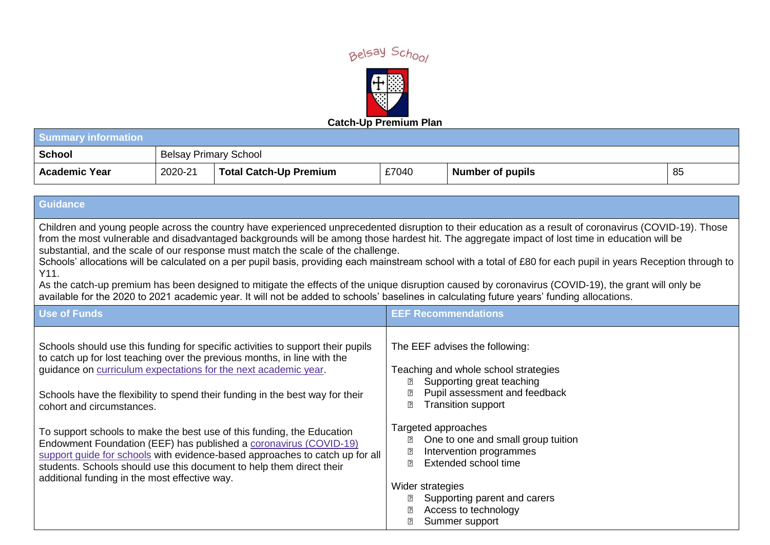



| <b>Summary information</b> |                              |                        |       |                         |    |
|----------------------------|------------------------------|------------------------|-------|-------------------------|----|
| <b>School</b>              | <b>Belsay Primary School</b> |                        |       |                         |    |
| <b>Academic Year</b>       | 2020-21                      | Total Catch-Up Premium | £7040 | <b>Number of pupils</b> | 85 |

## **Guidance**

Children and young people across the country have experienced unprecedented disruption to their education as a result of coronavirus (COVID-19). Those from the most vulnerable and disadvantaged backgrounds will be among those hardest hit. The aggregate impact of lost time in education will be substantial, and the scale of our response must match the scale of the challenge.

Schools' allocations will be calculated on a per pupil basis, providing each mainstream school with a total of £80 for each pupil in years Reception through to Y11.

As the catch-up premium has been designed to mitigate the effects of the unique disruption caused by coronavirus (COVID-19), the grant will only be available for the 2020 to 2021 academic year. It will not be added to schools' baselines in calculating future years' funding allocations.

| <b>Use of Funds</b>                                                                                                                                                                                                                                                                                                                                  | <b>EEF Recommendations</b>                                                                                                                                                                                           |
|------------------------------------------------------------------------------------------------------------------------------------------------------------------------------------------------------------------------------------------------------------------------------------------------------------------------------------------------------|----------------------------------------------------------------------------------------------------------------------------------------------------------------------------------------------------------------------|
| Schools should use this funding for specific activities to support their pupils<br>to catch up for lost teaching over the previous months, in line with the<br>guidance on curriculum expectations for the next academic year.<br>Schools have the flexibility to spend their funding in the best way for their<br>cohort and circumstances.         | The EEF advises the following:<br>Teaching and whole school strategies<br>Supporting great teaching<br>⊡<br>Pupil assessment and feedback<br><b>Transition support</b><br>₽                                          |
| To support schools to make the best use of this funding, the Education<br>Endowment Foundation (EEF) has published a coronavirus (COVID-19)<br>support guide for schools with evidence-based approaches to catch up for all<br>students. Schools should use this document to help them direct their<br>additional funding in the most effective way. | Targeted approaches<br>One to one and small group tuition<br>₽<br>Intervention programmes<br>Extended school time<br>Wider strategies<br>Supporting parent and carers<br>⊡<br>Access to technology<br>Summer support |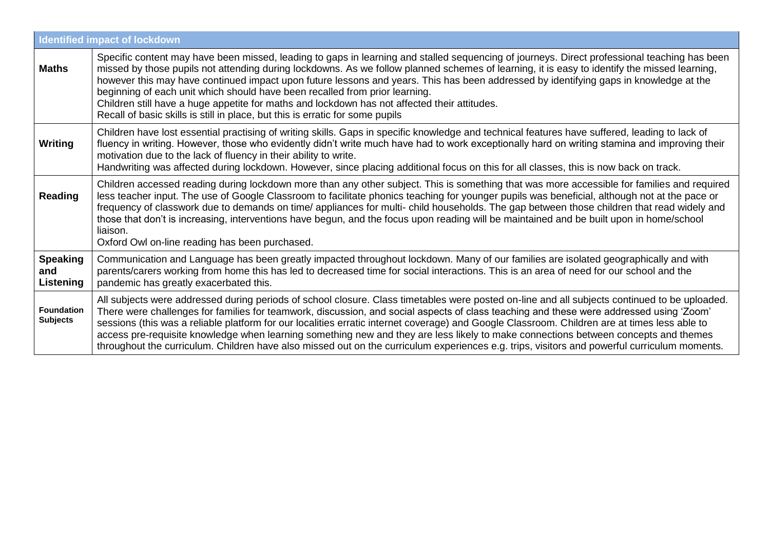|                                      | <b>Identified impact of lockdown</b>                                                                                                                                                                                                                                                                                                                                                                                                                                                                                                                                                                                                                                                                                             |
|--------------------------------------|----------------------------------------------------------------------------------------------------------------------------------------------------------------------------------------------------------------------------------------------------------------------------------------------------------------------------------------------------------------------------------------------------------------------------------------------------------------------------------------------------------------------------------------------------------------------------------------------------------------------------------------------------------------------------------------------------------------------------------|
| <b>Maths</b>                         | Specific content may have been missed, leading to gaps in learning and stalled sequencing of journeys. Direct professional teaching has been<br>missed by those pupils not attending during lockdowns. As we follow planned schemes of learning, it is easy to identify the missed learning,<br>however this may have continued impact upon future lessons and years. This has been addressed by identifying gaps in knowledge at the<br>beginning of each unit which should have been recalled from prior learning.<br>Children still have a huge appetite for maths and lockdown has not affected their attitudes.<br>Recall of basic skills is still in place, but this is erratic for some pupils                            |
| Writing                              | Children have lost essential practising of writing skills. Gaps in specific knowledge and technical features have suffered, leading to lack of<br>fluency in writing. However, those who evidently didn't write much have had to work exceptionally hard on writing stamina and improving their<br>motivation due to the lack of fluency in their ability to write.<br>Handwriting was affected during lockdown. However, since placing additional focus on this for all classes, this is now back on track.                                                                                                                                                                                                                     |
| Reading                              | Children accessed reading during lockdown more than any other subject. This is something that was more accessible for families and required<br>less teacher input. The use of Google Classroom to facilitate phonics teaching for younger pupils was beneficial, although not at the pace or<br>frequency of classwork due to demands on time/ appliances for multi-child households. The gap between those children that read widely and<br>those that don't is increasing, interventions have begun, and the focus upon reading will be maintained and be built upon in home/school<br>liaison.<br>Oxford Owl on-line reading has been purchased.                                                                              |
| <b>Speaking</b><br>and<br>Listening  | Communication and Language has been greatly impacted throughout lockdown. Many of our families are isolated geographically and with<br>parents/carers working from home this has led to decreased time for social interactions. This is an area of need for our school and the<br>pandemic has greatly exacerbated this.                                                                                                                                                                                                                                                                                                                                                                                                         |
| <b>Foundation</b><br><b>Subjects</b> | All subjects were addressed during periods of school closure. Class timetables were posted on-line and all subjects continued to be uploaded.<br>There were challenges for families for teamwork, discussion, and social aspects of class teaching and these were addressed using 'Zoom'<br>sessions (this was a reliable platform for our localities erratic internet coverage) and Google Classroom. Children are at times less able to<br>access pre-requisite knowledge when learning something new and they are less likely to make connections between concepts and themes<br>throughout the curriculum. Children have also missed out on the curriculum experiences e.g. trips, visitors and powerful curriculum moments. |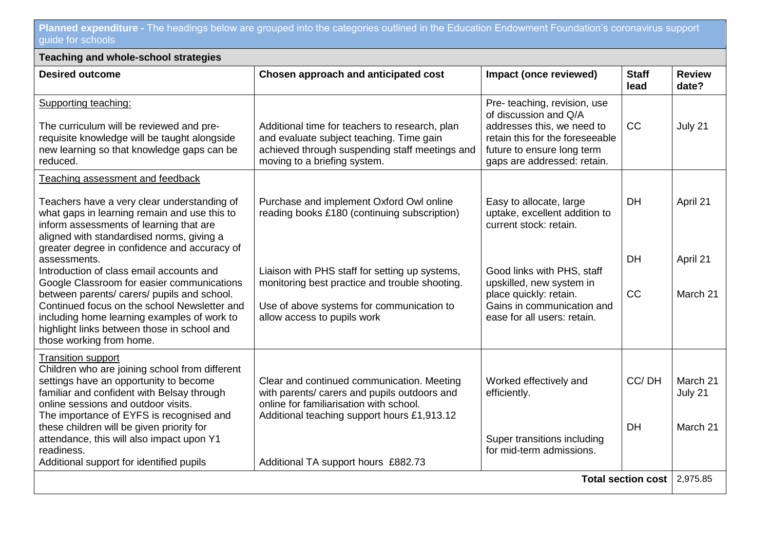**Planned expenditure -** The headings below are grouped into the categories outlined in the Education Endowment Foundation's coronavirus support guide for schools

| <b>Teaching and whole-school strategies</b>                                                                                                                                                                                                                                                                     |                                                                                                                                                                                      |                                                                                                                                                                                     |                      |                        |  |
|-----------------------------------------------------------------------------------------------------------------------------------------------------------------------------------------------------------------------------------------------------------------------------------------------------------------|--------------------------------------------------------------------------------------------------------------------------------------------------------------------------------------|-------------------------------------------------------------------------------------------------------------------------------------------------------------------------------------|----------------------|------------------------|--|
| <b>Desired outcome</b>                                                                                                                                                                                                                                                                                          | Chosen approach and anticipated cost                                                                                                                                                 | Impact (once reviewed)                                                                                                                                                              | <b>Staff</b><br>lead | <b>Review</b><br>date? |  |
| Supporting teaching:<br>The curriculum will be reviewed and pre-<br>requisite knowledge will be taught alongside<br>new learning so that knowledge gaps can be<br>reduced.                                                                                                                                      | Additional time for teachers to research, plan<br>and evaluate subject teaching. Time gain<br>achieved through suspending staff meetings and<br>moving to a briefing system.         | Pre- teaching, revision, use<br>of discussion and Q/A<br>addresses this, we need to<br>retain this for the foreseeable<br>future to ensure long term<br>gaps are addressed: retain. | <b>CC</b>            | July 21                |  |
| Teaching assessment and feedback                                                                                                                                                                                                                                                                                |                                                                                                                                                                                      |                                                                                                                                                                                     |                      |                        |  |
| Teachers have a very clear understanding of<br>what gaps in learning remain and use this to<br>inform assessments of learning that are<br>aligned with standardised norms, giving a                                                                                                                             | Purchase and implement Oxford Owl online<br>reading books £180 (continuing subscription)                                                                                             | Easy to allocate, large<br>uptake, excellent addition to<br>current stock: retain.                                                                                                  | <b>DH</b>            | April 21               |  |
| greater degree in confidence and accuracy of<br>assessments.                                                                                                                                                                                                                                                    |                                                                                                                                                                                      |                                                                                                                                                                                     | <b>DH</b>            | April 21               |  |
| Introduction of class email accounts and<br>Google Classroom for easier communications<br>between parents/ carers/ pupils and school.<br>Continued focus on the school Newsletter and<br>including home learning examples of work to<br>highlight links between those in school and<br>those working from home. | Liaison with PHS staff for setting up systems,<br>monitoring best practice and trouble shooting.<br>Use of above systems for communication to<br>allow access to pupils work         | Good links with PHS, staff<br>upskilled, new system in<br>place quickly: retain.<br>Gains in communication and<br>ease for all users: retain.                                       | CC                   | March 21               |  |
| <b>Transition support</b><br>Children who are joining school from different<br>settings have an opportunity to become<br>familiar and confident with Belsay through<br>online sessions and outdoor visits.<br>The importance of EYFS is recognised and                                                          | Clear and continued communication. Meeting<br>with parents/ carers and pupils outdoors and<br>online for familiarisation with school.<br>Additional teaching support hours £1,913.12 | Worked effectively and<br>efficiently.                                                                                                                                              | CC/DH                | March 21<br>July 21    |  |
| these children will be given priority for<br>attendance, this will also impact upon Y1<br>readiness.<br>Additional support for identified pupils                                                                                                                                                                | Additional TA support hours £882.73                                                                                                                                                  | Super transitions including<br>for mid-term admissions.                                                                                                                             | <b>DH</b>            | March 21               |  |
| Total section cost                                                                                                                                                                                                                                                                                              |                                                                                                                                                                                      |                                                                                                                                                                                     |                      | 2,975.85               |  |
|                                                                                                                                                                                                                                                                                                                 |                                                                                                                                                                                      |                                                                                                                                                                                     |                      |                        |  |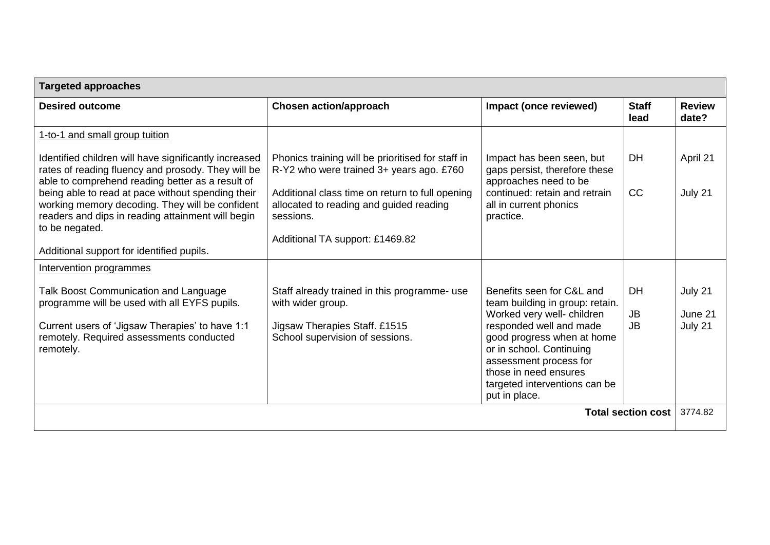| <b>Targeted approaches</b>                                                                                                                                                  |                                                                                                         |                                                                                                                                                                                                                      |                        |                        |  |
|-----------------------------------------------------------------------------------------------------------------------------------------------------------------------------|---------------------------------------------------------------------------------------------------------|----------------------------------------------------------------------------------------------------------------------------------------------------------------------------------------------------------------------|------------------------|------------------------|--|
| <b>Desired outcome</b>                                                                                                                                                      | <b>Chosen action/approach</b>                                                                           | Impact (once reviewed)                                                                                                                                                                                               | <b>Staff</b><br>lead   | <b>Review</b><br>date? |  |
| 1-to-1 and small group tuition                                                                                                                                              |                                                                                                         |                                                                                                                                                                                                                      |                        |                        |  |
| Identified children will have significantly increased<br>rates of reading fluency and prosody. They will be<br>able to comprehend reading better as a result of             | Phonics training will be prioritised for staff in<br>R-Y2 who were trained 3+ years ago. £760           | Impact has been seen, but<br>gaps persist, therefore these<br>approaches need to be                                                                                                                                  | <b>DH</b>              | April 21               |  |
| being able to read at pace without spending their<br>working memory decoding. They will be confident<br>readers and dips in reading attainment will begin<br>to be negated. | Additional class time on return to full opening<br>allocated to reading and guided reading<br>sessions. | continued: retain and retrain<br>all in current phonics<br>practice.                                                                                                                                                 | CC                     | July 21                |  |
| Additional support for identified pupils.                                                                                                                                   | Additional TA support: £1469.82                                                                         |                                                                                                                                                                                                                      |                        |                        |  |
| Intervention programmes                                                                                                                                                     |                                                                                                         |                                                                                                                                                                                                                      |                        |                        |  |
| Talk Boost Communication and Language<br>programme will be used with all EYFS pupils.                                                                                       | Staff already trained in this programme- use<br>with wider group.                                       | Benefits seen for C&L and<br>team building in group: retain.                                                                                                                                                         | <b>DH</b>              | July 21                |  |
| Current users of 'Jigsaw Therapies' to have 1:1<br>remotely. Required assessments conducted<br>remotely.                                                                    | Jigsaw Therapies Staff. £1515<br>School supervision of sessions.                                        | Worked very well- children<br>responded well and made<br>good progress when at home<br>or in school. Continuing<br>assessment process for<br>those in need ensures<br>targeted interventions can be<br>put in place. | <b>JB</b><br><b>JB</b> | June 21<br>July 21     |  |
| <b>Total section cost</b>                                                                                                                                                   |                                                                                                         |                                                                                                                                                                                                                      |                        | 3774.82                |  |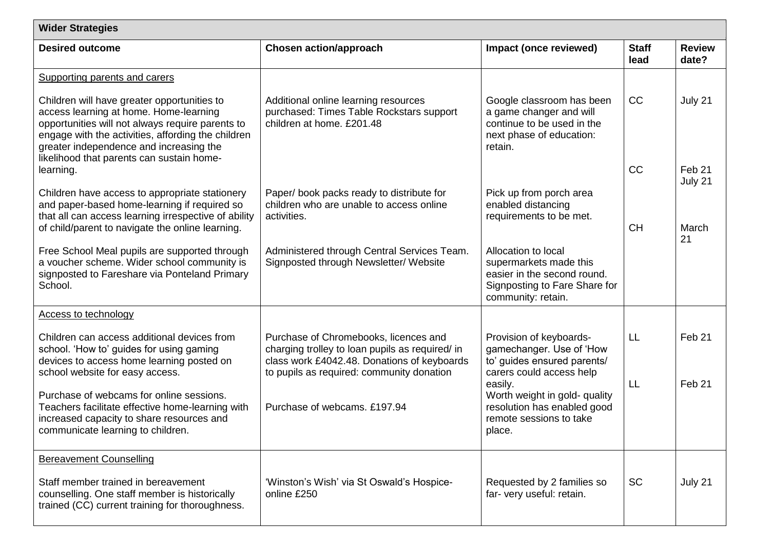| <b>Wider Strategies</b>                                                                                                                                                                                                                                                                 |                                                                                                                                                                                      |                                                                                                                                     |                      |                              |  |
|-----------------------------------------------------------------------------------------------------------------------------------------------------------------------------------------------------------------------------------------------------------------------------------------|--------------------------------------------------------------------------------------------------------------------------------------------------------------------------------------|-------------------------------------------------------------------------------------------------------------------------------------|----------------------|------------------------------|--|
| <b>Desired outcome</b>                                                                                                                                                                                                                                                                  | <b>Chosen action/approach</b>                                                                                                                                                        | Impact (once reviewed)                                                                                                              | <b>Staff</b><br>lead | <b>Review</b><br>date?       |  |
| Supporting parents and carers                                                                                                                                                                                                                                                           |                                                                                                                                                                                      |                                                                                                                                     |                      |                              |  |
| Children will have greater opportunities to<br>access learning at home. Home-learning<br>opportunities will not always require parents to<br>engage with the activities, affording the children<br>greater independence and increasing the<br>likelihood that parents can sustain home- | Additional online learning resources<br>purchased: Times Table Rockstars support<br>children at home. £201.48                                                                        | Google classroom has been<br>a game changer and will<br>continue to be used in the<br>next phase of education:<br>retain.           | CC                   | July 21                      |  |
| learning.                                                                                                                                                                                                                                                                               |                                                                                                                                                                                      |                                                                                                                                     | CC                   | Feb <sub>21</sub><br>July 21 |  |
| Children have access to appropriate stationery<br>and paper-based home-learning if required so<br>that all can access learning irrespective of ability                                                                                                                                  | Paper/ book packs ready to distribute for<br>children who are unable to access online<br>activities.                                                                                 | Pick up from porch area<br>enabled distancing<br>requirements to be met.                                                            |                      |                              |  |
| of child/parent to navigate the online learning.                                                                                                                                                                                                                                        |                                                                                                                                                                                      |                                                                                                                                     | <b>CH</b>            | March<br>21                  |  |
| Free School Meal pupils are supported through<br>a voucher scheme. Wider school community is<br>signposted to Fareshare via Ponteland Primary<br>School.                                                                                                                                | Administered through Central Services Team.<br>Signposted through Newsletter/Website                                                                                                 | Allocation to local<br>supermarkets made this<br>easier in the second round.<br>Signposting to Fare Share for<br>community: retain. |                      |                              |  |
| <b>Access to technology</b>                                                                                                                                                                                                                                                             |                                                                                                                                                                                      |                                                                                                                                     |                      |                              |  |
| Children can access additional devices from<br>school. 'How to' guides for using gaming<br>devices to access home learning posted on<br>school website for easy access.                                                                                                                 | Purchase of Chromebooks, licences and<br>charging trolley to loan pupils as required/ in<br>class work £4042.48. Donations of keyboards<br>to pupils as required: community donation | Provision of keyboards-<br>gamechanger. Use of 'How<br>to' guides ensured parents/<br>carers could access help                      | LL                   | Feb <sub>21</sub>            |  |
| Purchase of webcams for online sessions.<br>Teachers facilitate effective home-learning with<br>increased capacity to share resources and<br>communicate learning to children.                                                                                                          | Purchase of webcams. £197.94                                                                                                                                                         | easily.<br>Worth weight in gold- quality<br>resolution has enabled good<br>remote sessions to take<br>place.                        | LL                   | Feb <sub>21</sub>            |  |
| <b>Bereavement Counselling</b>                                                                                                                                                                                                                                                          |                                                                                                                                                                                      |                                                                                                                                     |                      |                              |  |
| Staff member trained in bereavement<br>counselling. One staff member is historically<br>trained (CC) current training for thoroughness.                                                                                                                                                 | 'Winston's Wish' via St Oswald's Hospice-<br>online £250                                                                                                                             | Requested by 2 families so<br>far- very useful: retain.                                                                             | <b>SC</b>            | July 21                      |  |